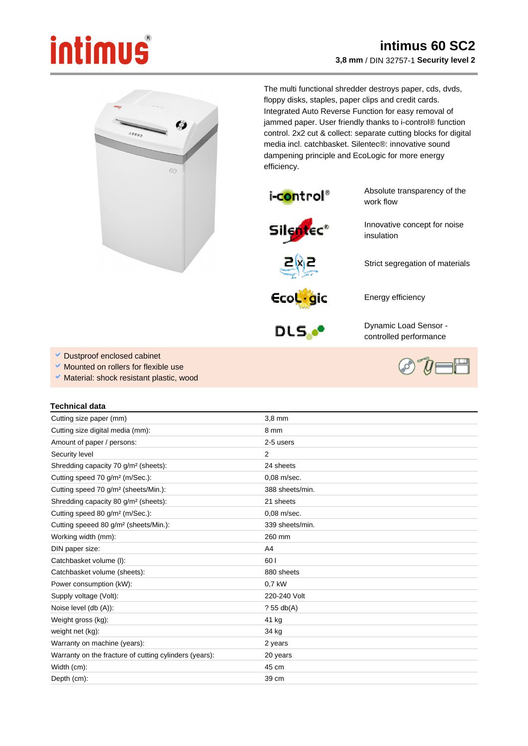## intimus

## **intimus 60 SC2 3,8 mm** / DIN 32757-1 **Security level 2**



The multi functional shredder destroys paper, cds, dvds, floppy disks, staples, paper clips and credit cards. Integrated Auto Reverse Function for easy removal of jammed paper. User friendly thanks to i-control® function control. 2x2 cut & collect: separate cutting blocks for digital media incl. catchbasket. Silentec®: innovative sound dampening principle and EcoLogic for more energy efficiency.



Absolute transparency of the work flow

Innovative concept for noise

Strict segregation of materials





Energy efficiency

insulation



Dynamic Load Sensor controlled performance

- Dustproof enclosed cabinet
- Mounted on rollers for flexible use
- Material: shock resistant plastic, wood

## **Technical data**

| Cutting size paper (mm)                                | $3.8$ mm        |
|--------------------------------------------------------|-----------------|
| Cutting size digital media (mm):                       | 8 mm            |
| Amount of paper / persons:                             | 2-5 users       |
| Security level                                         | $\overline{2}$  |
| Shredding capacity 70 g/m <sup>2</sup> (sheets):       | 24 sheets       |
| Cutting speed 70 g/m <sup>2</sup> (m/Sec.):            | $0.08$ m/sec.   |
| Cutting speed 70 g/m <sup>2</sup> (sheets/Min.):       | 388 sheets/min. |
| Shredding capacity 80 g/m <sup>2</sup> (sheets):       | 21 sheets       |
| Cutting speed 80 g/m <sup>2</sup> (m/Sec.):            | 0.08 m/sec.     |
| Cutting speeed 80 g/m <sup>2</sup> (sheets/Min.):      | 339 sheets/min. |
| Working width (mm):                                    | 260 mm          |
| DIN paper size:                                        | A4              |
| Catchbasket volume (I):                                | 60 l            |
| Catchbasket volume (sheets):                           | 880 sheets      |
| Power consumption (kW):                                | 0.7 kW          |
| Supply voltage (Volt):                                 | 220-240 Volt    |
| Noise level (db (A)):                                  | ?55 db(A)       |
| Weight gross (kg):                                     | 41 kg           |
| weight net (kg):                                       | 34 kg           |
| Warranty on machine (years):                           | 2 years         |
| Warranty on the fracture of cutting cylinders (years): | 20 years        |
| Width (cm):                                            | 45 cm           |
| Depth (cm):                                            | 39 cm           |